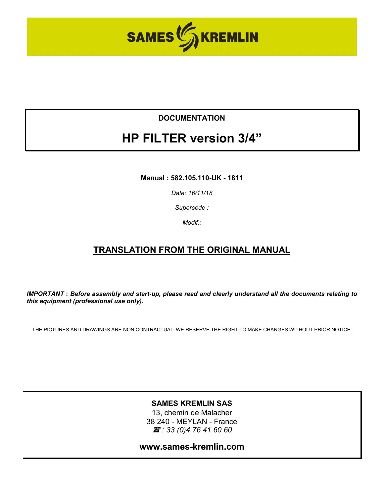

## **DOCUMENTATION**

# **HP FILTER version 3/4"**

**Manual : 582.105.110-UK - 1811**

*Date: 16/11/18*

*Supersede :* 

*Modif.:* 

## **TRANSLATION FROM THE ORIGINAL MANUAL**

*IMPORTANT* **:** *Before assembly and start-up, please read and clearly understand all the documents relating to this equipment (professional use only).* 

THE PICTURES AND DRAWINGS ARE NON CONTRACTUAL. WE RESERVE THE RIGHT TO MAKE CHANGES WITHOUT PRIOR NOTICE..

#### **SAMES KREMLIN SAS**

13, chemin de Malacher 38 240 - MEYLAN - France *: 33 (0)4 76 41 60 60*

**www.sames-kremlin.com**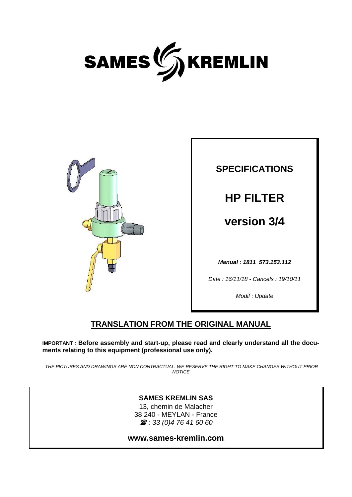



**SPECIFICATIONS HP FILTER version 3/4**  *Manual : 1811 573.153.112 Date : 16/11/18 - Cancels : 19/10/11* 

*Modif : Update* 

## **TRANSLATION FROM THE ORIGINAL MANUAL**

**IMPORTANT** : **Before assembly and start-up, please read and clearly understand all the documents relating to this equipment (professional use only).** 

*THE PICTURES AND DRAWINGS ARE NON CONTRACTUAL. WE RESERVE THE RIGHT TO MAKE CHANGES WITHOUT PRIOR NOTICE.* 

#### **SAMES KREMLIN SAS**

13, chemin de Malacher 38 240 - MEYLAN - France  *: 33 (0)4 76 41 60 60* 

**www.sames-kremlin.com**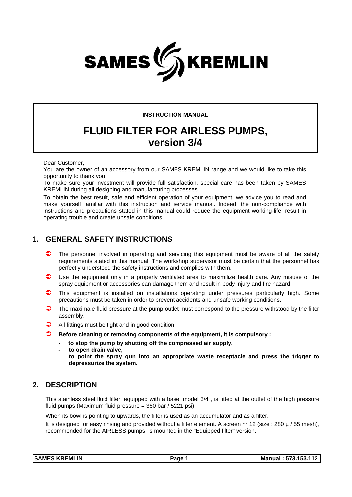

#### **INSTRUCTION MANUAL**

## **FLUID FILTER FOR AIRLESS PUMPS, version 3/4**

Dear Customer,

You are the owner of an accessory from our SAMES KREMLIN range and we would like to take this opportunity to thank you.

To make sure your investment will provide full satisfaction, special care has been taken by SAMES KREMLIN during all designing and manufacturing processes.

To obtain the best result, safe and efficient operation of your equipment, we advice you to read and make yourself familiar with this instruction and service manual. Indeed, the non-compliance with instructions and precautions stated in this manual could reduce the equipment working-life, result in operating trouble and create unsafe conditions.

#### **1. GENERAL SAFETY INSTRUCTIONS**

- $\bullet$  The personnel involved in operating and servicing this equipment must be aware of all the safety requirements stated in this manual. The workshop supervisor must be certain that the personnel has perfectly understood the safety instructions and complies with them.
- Use the equipment only in a properly ventilated area to maximilize health care. Any misuse of the spray equipment or accessories can damage them and result in body injury and fire hazard.
- This equipment is installed on installations operating under pressures particularly high. Some precautions must be taken in order to prevent accidents and unsafe working conditions.
- $\bullet$  The maximale fluid pressure at the pump outlet must correspond to the pressure withstood by the filter assembly.
- All fittings must be tight and in good condition.
- **Before cleaning or removing components of the equipment, it is compulsory :** 
	- **to stop the pump by shutting off the compressed air supply,**
	- **to open drain valve,**
	- **to point the spray gun into an appropriate waste receptacle and press the trigger to depressurize the system.**

#### **2. DESCRIPTION**

This stainless steel fluid filter, equipped with a base, model 3/4", is fitted at the outlet of the high pressure fluid pumps (Maximum fluid pressure = 360 bar / 5221 psi).

When its bowl is pointing to upwards, the filter is used as an accumulator and as a filter.

It is designed for easy rinsing and provided without a filter element. A screen n° 12 (size : 280 µ / 55 mesh), recommended for the AIRLESS pumps, is mounted in the "Equipped filter" version.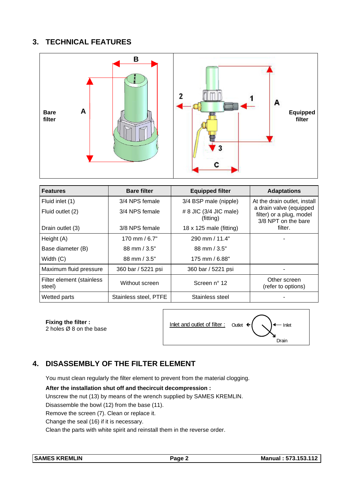## **3. TECHNICAL FEATURES**



| <b>Features</b>                     | <b>Bare filter</b>      | <b>Equipped filter</b>                | <b>Adaptations</b>                                                         |
|-------------------------------------|-------------------------|---------------------------------------|----------------------------------------------------------------------------|
| Fluid inlet (1)                     | 3/4 NPS female          | 3/4 BSP male (nipple)                 | At the drain outlet, install                                               |
| Fluid outlet (2)                    | 3/4 NPS female          | $# 8$ JIC (3/4 JIC male)<br>(fitting) | a drain valve (equipped<br>filter) or a plug, model<br>3/8 NPT on the bare |
| Drain outlet (3)                    | 3/8 NPS female          | 18 x 125 male (fitting)               | filter.                                                                    |
| Height (A)                          | 170 mm / $6.7"$         | 290 mm / 11.4"                        |                                                                            |
| Base diameter (B)                   | $88$ mm $/ 3.5"$        | 88 mm / 3.5"                          |                                                                            |
| Width $(C)$                         | $88 \text{ mm} / 3.5$ " | 175 mm / 6.88"                        |                                                                            |
| Maximum fluid pressure              | 360 bar / 5221 psi      | 360 bar / 5221 psi                    |                                                                            |
| Filter element (stainless<br>steel) | Without screen          | Screen nº 12                          | Other screen<br>(refer to options)                                         |
| Wetted parts                        | Stainless steel, PTFE   | Stainless steel                       |                                                                            |

**Fixing the filter :** 



## **4. DISASSEMBLY OF THE FILTER ELEMENT**

You must clean regularly the filter element to prevent from the material clogging.

**After the installation shut off and thecircuit decompression :**

Unscrew the nut (13) by means of the wrench supplied by SAMES KREMLIN.

Disassemble the bowl (12) from the base (11).

Remove the screen (7). Clean or replace it.

Change the seal (16) if it is necessary.

Clean the parts with white spirit and reinstall them in the reverse order.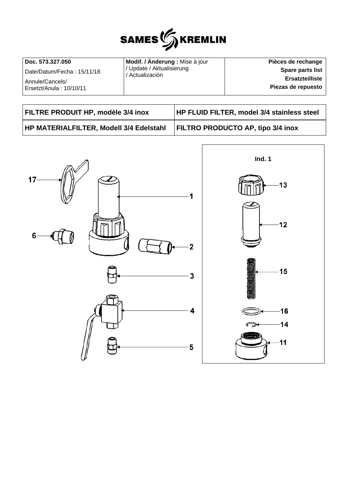

| Doc. 573.327.050           | Modif. / Änderung : Mise à jour              | Pièces de rechange     |
|----------------------------|----------------------------------------------|------------------------|
| Date/Datum/Fecha: 15/11/18 | / Update / Aktualisierung<br>' Actualización | Spare parts list       |
| Annule/Cancels/            |                                              | <b>Ersatzteilliste</b> |
| Ersetzt/Anula: 10/10/11    |                                              | Piezas de repuesto     |

| FILTRE PRODUIT HP, modèle 3/4 inox      | HP FLUID FILTER, model 3/4 stainless steel |  |
|-----------------------------------------|--------------------------------------------|--|
| HP MATERIALFILTER, Modell 3/4 Edelstahl | <b>FILTRO PRODUCTO AP, tipo 3/4 inox</b>   |  |

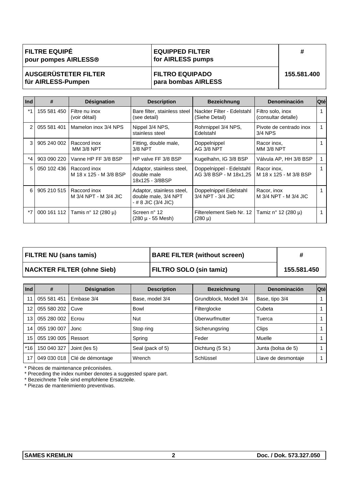| <b>FILTRE EQUIPÉ</b> |  |
|----------------------|--|
| pour pompes AIRLESS® |  |

#### **EQUIPPED FILTER for AIRLESS pumps**

#### **AUSGERÜSTETER FILTER für AIRLESS-Pumpen**

#### **FILTRO EQUIPADO para bombas AIRLESS**

**155.581.400** 

| Ind            | #           | Désignation                            | <b>Description</b>                                                       | <b>Bezeichnung</b>                                 | Denominación                             | <b>Qté</b> |
|----------------|-------------|----------------------------------------|--------------------------------------------------------------------------|----------------------------------------------------|------------------------------------------|------------|
| $*_{1}$        | 155 581 450 | Filtre nu inox<br>(voir détail)        | Bare filter, stainless steel<br>(see detail)                             | Nackter Filter - Edelstahl<br>(Siehe Detail)       | Filtro solo, inox<br>(consultar detalle) |            |
| $\overline{2}$ | 055 581 401 | Mamelon inox 3/4 NPS                   | Nippel 3/4 NPS.<br>stainless steel                                       | Rohrnippel 3/4 NPS,<br>Edelstahl                   | Pivote de centrado inox<br>3/4 NPS       |            |
| 3              | 905 240 002 | Raccord inox<br><b>MM 3/8 NPT</b>      | Fitting, double male,<br>$3/8$ NPT                                       | Doppelnippel<br>AG 3/8 NPT                         | Racor inox,<br><b>MM 3/8 NPT</b>         |            |
| $^*4$          | 903 090 220 | Vanne HP FF 3/8 BSP                    | HP valve FF 3/8 BSP                                                      | Kugelhahn, IG 3/8 BSP                              | Válvula AP, HH 3/8 BSP                   |            |
| 5              | 050 102 436 | Raccord inox<br>M 18 x 125 - M 3/8 BSP | Adaptor, stainless steel,<br>double male<br>18x125 - 3/8BSP              | Doppelnippel - Edelstahl<br>AG 3/8 BSP - M 18x1,25 | Racor inox,<br>M 18 x 125 - M 3/8 BSP    |            |
| 6              | 905 210 515 | Raccord inox<br>M 3/4 NPT - M 3/4 JIC  | Adaptor, stainless steel,<br>double male, 3/4 NPT<br>- # 8 JIC (3/4 JIC) | Doppelnippel Edelstahl<br>3/4 NPT - 3/4 JIC        | Racor, inox<br>M 3/4 NPT - M 3/4 JIC     |            |
| $*71$          |             | 000 161 112   Tamis n° 12 (280 µ)      | Screen nº 12<br>(280 µ - 55 Mesh)                                        | Filterelement Sieb Nr. 12<br>$(280 \mu)$           | Tamiz n° 12 (280 µ)                      |            |

| <b>FILTRE NU (sans tamis)</b>     | <b>BARE FILTER (without screen)</b> |             |
|-----------------------------------|-------------------------------------|-------------|
| <b>NACKTER FILTER (ohne Sieb)</b> | <b>FILTRO SOLO (sin tamiz)</b>      | 155.581.450 |

| Ind   | #           | Désignation      | <b>Description</b> | <b>Bezeichnung</b>     | Denominación        | <b>Qté</b> |
|-------|-------------|------------------|--------------------|------------------------|---------------------|------------|
| 11    | 055 581 451 | Embase 3/4       | Base, model 3/4    | Grundblock, Modell 3/4 | Base, tipo 3/4      |            |
| 12    | 055 580 202 | Cuve             | Bowl               | Filterglocke           | Cubeta              |            |
| 13    | 055 280 002 | Ecrou            | <b>Nut</b>         | Überwurfmutter         | Tuerca              |            |
| 14    | 055 190 007 | Jonc             | Stop ring          | Sicherungsring         | Clips               |            |
| 15    | 055 190 005 | Ressort          | Spring             | Feder                  | Muelle              |            |
| $*16$ | 150 040 327 | Joint (les 5)    | Seal (pack of 5)   | Dichtung (5 St.)       | Junta (bolsa de 5)  |            |
| 17    | 049 030 018 | Clé de démontage | Wrench             | Schlüssel              | Llave de desmontaje |            |

\* Pièces de maintenance préconisées.

\* Preceding the index number denotes a suggested spare part.

\* Bezeichnete Teile sind empfohlene Ersatzteile.

\* Piezas de mantenimiento preventivas.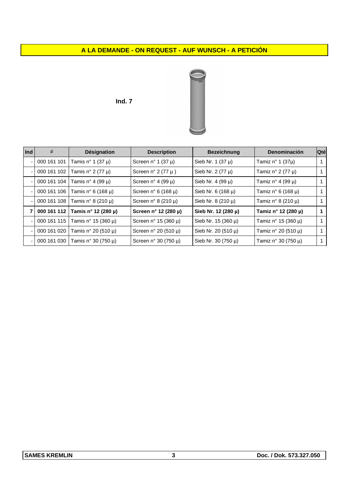### **A LA DEMANDE - ON REQUEST - AUF WUNSCH - A PETICIÓN**

**Ind. 7** 



| $ $ Ind | #           | Désignation            | <b>Description</b>               | <b>Bezeichnung</b>      | Denominación           | Qté |
|---------|-------------|------------------------|----------------------------------|-------------------------|------------------------|-----|
|         | 000 161 101 | Tamis n° 1 (37 $\mu$ ) | Screen n° 1 (37 $\mu$ )          | Sieb Nr. 1 $(37 \mu)$   | Tamiz n° 1 (37µ)       |     |
|         | 000 161 102 | Tamis n° 2 (77 $\mu$ ) | Screen $n^{\circ}$ 2 (77 $\mu$ ) | Sieb Nr. 2 $(77 \mu)$   | Tamiz n° 2 (77 $\mu$ ) |     |
|         | 000 161 104 | Tamis n° 4 (99 µ)      | Screen n° 4 (99 $\mu$ )          | Sieb Nr. 4 (99 $\mu$ )  | Tamiz n° 4 (99 µ)      |     |
|         | 000 161 106 | Tamis n° 6 (168 µ)     | Screen $n^{\circ}$ 6 (168 µ)     | Sieb Nr. 6 $(168 \mu)$  | Tamiz n° 6 (168 µ)     |     |
|         | 000 161 108 | Tamis n° 8 (210 µ)     | Screen $n^{\circ}$ 8 (210 µ)     | Sieb Nr. 8 (210 µ)      | Tamiz n° 8 (210 µ)     |     |
|         | 000 161 112 | Tamis n° 12 (280 µ)    | Screen n° 12 (280 µ)             | Sieb Nr. 12 (280 µ)     | Tamiz n° 12 (280 µ)    | 1   |
|         | 000 161 115 | Tamis n° 15 (360 µ)    | Screen $n^{\circ}$ 15 (360 µ)    | Sieb Nr. $15(360 \mu)$  | Tamiz n° 15 (360 µ)    |     |
|         | 000 161 020 | Tamis n° 20 (510 µ)    | Screen n° 20 (510 µ)             | Sieb Nr. 20 (510 µ)     | Tamiz n° 20 (510 µ)    | 1   |
|         | 000 161 030 | Tamis n° 30 (750 µ)    | Screen n° 30 (750 $\mu$ )        | Sieb Nr. 30 $(750 \mu)$ | Tamiz n° 30 (750 µ)    |     |